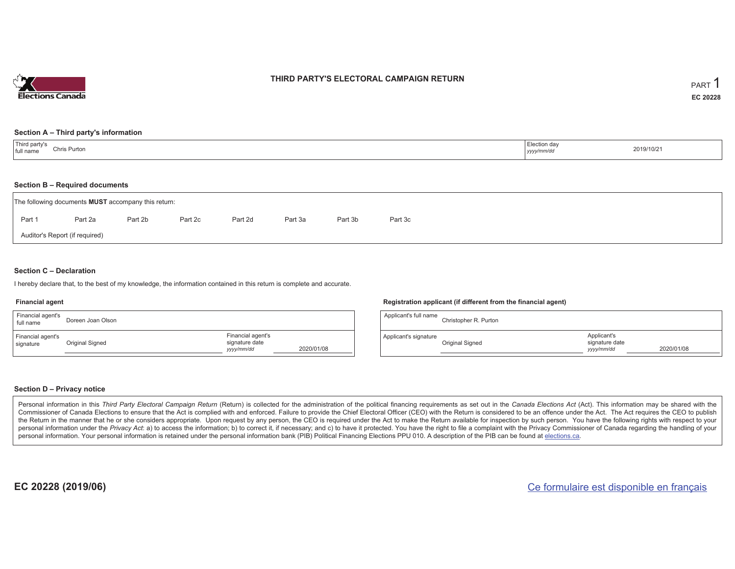

## **THIRD PARTY'S ELECTORAL CAMPAIGN RETURN**

#### **Section A – Third party's information**

| Third party's<br>Election day<br>Chris Purton<br>full name<br>yyyy/mm/dd | 2019/10/21 |
|--------------------------------------------------------------------------|------------|
|--------------------------------------------------------------------------|------------|

#### **Section B – Required documents**

|        | The following documents <b>MUST</b> accompany this return: |         |         |         |         |         |         |
|--------|------------------------------------------------------------|---------|---------|---------|---------|---------|---------|
| Part 1 | Part 2a                                                    | Part 2b | Part 2c | Part 2d | Part 3a | Part 3b | Part 3c |
|        | Auditor's Report (if required)                             |         |         |         |         |         |         |

### **Section C – Declaration**

I hereby declare that, to the best of my knowledge, the information contained in this return is complete and accurate.

#### **Financial agent**

| Financial agent's<br>full name | Doreen Joan Olson |                                                   |            | Applica  |
|--------------------------------|-------------------|---------------------------------------------------|------------|----------|
| Financial agent's<br>signature | Original Signed   | Financial agent's<br>signature date<br>yyyy/mm/dd | 2020/01/08 | Applicar |

#### **Registration applicant (if different from the financial agent)**

| Applicant's full name | Christopher R. Purton |                                             |            |
|-----------------------|-----------------------|---------------------------------------------|------------|
| Applicant's signature | Original Signed       | Applicant's<br>signature date<br>yyyy/mm/dd | 2020/01/08 |

### **Section D – Privacy notice**

Personal information in this Third Party Electoral Campaign Return (Return) is collected for the administration of the political financing requirements as set out in the Canada Elections Act (Act). This information may be Commissioner of Canada Elections to ensure that the Act is complied with and enforced. Failure to provide the Chief Electoral Officer (CEO) with the Return is considered to be an offence under the Act. The Act requires the the Return in the manner that he or she considers appropriate. Upon request by any person, the CEO is required under the Act to make the Return available for inspection by such person. You have the following rights with re personal information under the Privacy Act: a) to access the information; b) to correct it, if necessary; and c) to have it protected. You have the right to file a complaint with the Privacy Commissioner of Canada regardin personal information. Your personal information is retained under the personal information bank (PIB) Political Financing Elections PPU 010. A description of the PIB can be found at elections.ca.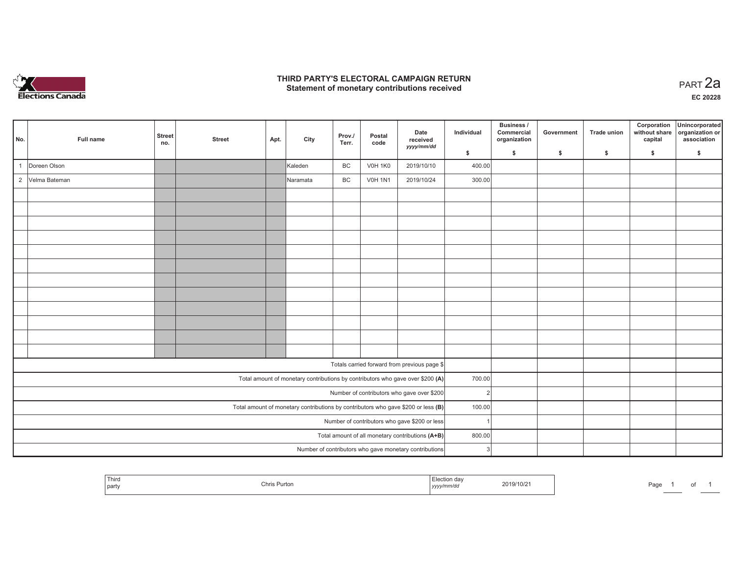

## **THIRD PARTY'S ELECTORAL CAMPAIGN RETURN HIRD PARTY'S ELECTORAL CAMPAIGN RETURN<br>Statement of monetary contributions received PART 2a**

**EC 20228**

| No.            | Full name                                     | <b>Street</b><br>no. | <b>Street</b> | Apt. | City     | Prov./<br>Terr. | Postal<br>code | Date<br>received<br>yyyy/mm/dd                                                      | Individual    | Business /<br>Commercial<br>organization | Government | <b>Trade union</b> | Corporation<br>without share<br>capital | Unincorporated<br>organization or<br>association |
|----------------|-----------------------------------------------|----------------------|---------------|------|----------|-----------------|----------------|-------------------------------------------------------------------------------------|---------------|------------------------------------------|------------|--------------------|-----------------------------------------|--------------------------------------------------|
|                |                                               |                      |               |      |          |                 |                |                                                                                     | \$            | $\mathsf{s}$                             | \$         | S.                 | \$                                      | \$                                               |
|                | Doreen Olson                                  |                      |               |      | Kaleden  | BC              | <b>V0H 1K0</b> | 2019/10/10                                                                          | 400.00        |                                          |            |                    |                                         |                                                  |
| $\overline{2}$ | Velma Bateman                                 |                      |               |      | Naramata | BC              | <b>V0H 1N1</b> | 2019/10/24                                                                          | 300.00        |                                          |            |                    |                                         |                                                  |
|                |                                               |                      |               |      |          |                 |                |                                                                                     |               |                                          |            |                    |                                         |                                                  |
|                |                                               |                      |               |      |          |                 |                |                                                                                     |               |                                          |            |                    |                                         |                                                  |
|                |                                               |                      |               |      |          |                 |                |                                                                                     |               |                                          |            |                    |                                         |                                                  |
|                |                                               |                      |               |      |          |                 |                |                                                                                     |               |                                          |            |                    |                                         |                                                  |
|                |                                               |                      |               |      |          |                 |                |                                                                                     |               |                                          |            |                    |                                         |                                                  |
|                |                                               |                      |               |      |          |                 |                |                                                                                     |               |                                          |            |                    |                                         |                                                  |
|                |                                               |                      |               |      |          |                 |                |                                                                                     |               |                                          |            |                    |                                         |                                                  |
|                |                                               |                      |               |      |          |                 |                |                                                                                     |               |                                          |            |                    |                                         |                                                  |
|                |                                               |                      |               |      |          |                 |                |                                                                                     |               |                                          |            |                    |                                         |                                                  |
|                |                                               |                      |               |      |          |                 |                |                                                                                     |               |                                          |            |                    |                                         |                                                  |
|                |                                               |                      |               |      |          |                 |                |                                                                                     |               |                                          |            |                    |                                         |                                                  |
|                |                                               |                      |               |      |          |                 |                |                                                                                     |               |                                          |            |                    |                                         |                                                  |
|                |                                               |                      |               |      |          |                 |                | Totals carried forward from previous page \$                                        |               |                                          |            |                    |                                         |                                                  |
|                |                                               |                      |               |      |          |                 |                | Total amount of monetary contributions by contributors who gave over \$200 (A)      | 700.00        |                                          |            |                    |                                         |                                                  |
|                |                                               |                      |               |      |          |                 |                | Number of contributors who gave over \$200                                          | $\mathcal{P}$ |                                          |            |                    |                                         |                                                  |
|                |                                               |                      |               |      |          |                 |                | Total amount of monetary contributions by contributors who gave \$200 or less $(B)$ | 100.00        |                                          |            |                    |                                         |                                                  |
|                | Number of contributors who gave \$200 or less |                      |               |      |          |                 |                |                                                                                     |               |                                          |            |                    |                                         |                                                  |
|                |                                               |                      |               |      |          |                 |                | Total amount of all monetary contributions (A+B)                                    | 800.00        |                                          |            |                    |                                         |                                                  |
|                |                                               |                      |               |      |          |                 |                | Number of contributors who gave monetary contributions                              | 3             |                                          |            |                    |                                         |                                                  |

|  | <sup>1</sup> Thiro<br>  party | Chris Purton | tion dav<br>  УУУУ | 2019/10/2 | Page |  |  |  |
|--|-------------------------------|--------------|--------------------|-----------|------|--|--|--|
|--|-------------------------------|--------------|--------------------|-----------|------|--|--|--|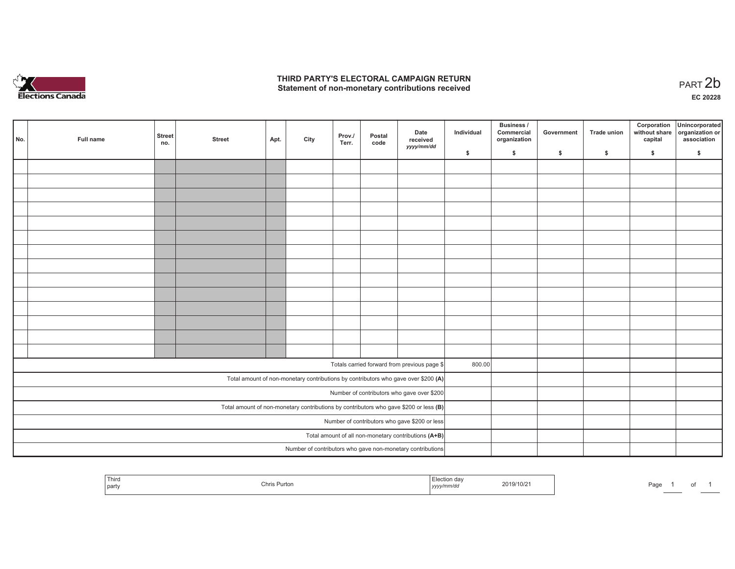

## **THIRD PARTY'S ELECTORAL CAMPAIGN RETURN**  THIRD PARTY'S ELECTORAL CAMPAIGN RETURN<br>Statement of non-monetary contributions received<br> **PART 2b**

| No.                                                                                     | Full name | <b>Street</b><br>no. | <b>Street</b> | Apt. | City | Prov./<br>Terr. | Postal<br>code | Date<br>received<br>yyyy/mm/dd                                                     | Individual | <b>Business /</b><br>Commercial<br>organization | Government   | Trade union  | Corporation<br>without share<br>capital | Unincorporated<br>organization or<br>association |
|-----------------------------------------------------------------------------------------|-----------|----------------------|---------------|------|------|-----------------|----------------|------------------------------------------------------------------------------------|------------|-------------------------------------------------|--------------|--------------|-----------------------------------------|--------------------------------------------------|
|                                                                                         |           |                      |               |      |      |                 |                |                                                                                    | \$         | \$                                              | $\mathsf{s}$ | $\mathbf{s}$ | \$                                      | \$                                               |
|                                                                                         |           |                      |               |      |      |                 |                |                                                                                    |            |                                                 |              |              |                                         |                                                  |
|                                                                                         |           |                      |               |      |      |                 |                |                                                                                    |            |                                                 |              |              |                                         |                                                  |
|                                                                                         |           |                      |               |      |      |                 |                |                                                                                    |            |                                                 |              |              |                                         |                                                  |
|                                                                                         |           |                      |               |      |      |                 |                |                                                                                    |            |                                                 |              |              |                                         |                                                  |
|                                                                                         |           |                      |               |      |      |                 |                |                                                                                    |            |                                                 |              |              |                                         |                                                  |
|                                                                                         |           |                      |               |      |      |                 |                |                                                                                    |            |                                                 |              |              |                                         |                                                  |
|                                                                                         |           |                      |               |      |      |                 |                |                                                                                    |            |                                                 |              |              |                                         |                                                  |
|                                                                                         |           |                      |               |      |      |                 |                |                                                                                    |            |                                                 |              |              |                                         |                                                  |
|                                                                                         |           |                      |               |      |      |                 |                |                                                                                    |            |                                                 |              |              |                                         |                                                  |
|                                                                                         |           |                      |               |      |      |                 |                |                                                                                    |            |                                                 |              |              |                                         |                                                  |
|                                                                                         |           |                      |               |      |      |                 |                |                                                                                    |            |                                                 |              |              |                                         |                                                  |
|                                                                                         |           |                      |               |      |      |                 |                |                                                                                    |            |                                                 |              |              |                                         |                                                  |
|                                                                                         |           |                      |               |      |      |                 |                |                                                                                    |            |                                                 |              |              |                                         |                                                  |
|                                                                                         |           |                      |               |      |      |                 |                |                                                                                    |            |                                                 |              |              |                                         |                                                  |
|                                                                                         |           |                      |               |      |      |                 |                |                                                                                    |            |                                                 |              |              |                                         |                                                  |
|                                                                                         |           |                      |               |      |      |                 |                | Totals carried forward from previous page \$                                       | 800.00     |                                                 |              |              |                                         |                                                  |
|                                                                                         |           |                      |               |      |      |                 |                | Total amount of non-monetary contributions by contributors who gave over \$200 (A) |            |                                                 |              |              |                                         |                                                  |
| Number of contributors who gave over \$200                                              |           |                      |               |      |      |                 |                |                                                                                    |            |                                                 |              |              |                                         |                                                  |
| Total amount of non-monetary contributions by contributors who gave \$200 or less $(B)$ |           |                      |               |      |      |                 |                |                                                                                    |            |                                                 |              |              |                                         |                                                  |
| Number of contributors who gave \$200 or less                                           |           |                      |               |      |      |                 |                |                                                                                    |            |                                                 |              |              |                                         |                                                  |
| Total amount of all non-monetary contributions (A+B)                                    |           |                      |               |      |      |                 |                |                                                                                    |            |                                                 |              |              |                                         |                                                  |
|                                                                                         |           |                      |               |      |      |                 |                | Number of contributors who gave non-monetary contributions                         |            |                                                 |              |              |                                         |                                                  |
|                                                                                         |           |                      |               |      |      |                 |                |                                                                                    |            |                                                 |              |              |                                         |                                                  |

| Thiro<br>Chris Purton<br>part | `≏≏tion dav<br>2019/10/2 <sup>-</sup><br>'mm⁄o.<br>,,,,, | the property of the control of the control of the control of<br>Page<br>A,<br>$\cdot$ |
|-------------------------------|----------------------------------------------------------|---------------------------------------------------------------------------------------|
|-------------------------------|----------------------------------------------------------|---------------------------------------------------------------------------------------|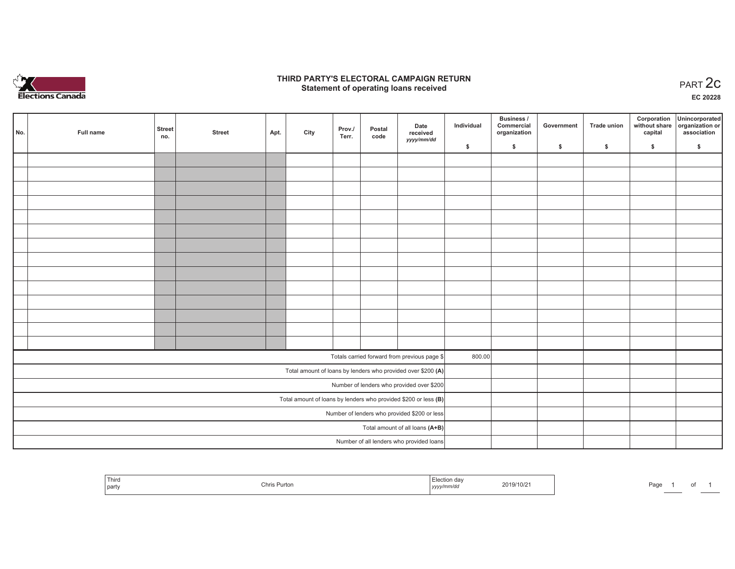

## **THIRD PARTY'S ELECTORAL CAMPAIGN RETURN STATE:** PARTY'S ELECTORAL CAMPAIGN RETURN<br>
Statement of operating loans received

**EC 20228**

| No.                                                               | Full name | <b>Street</b> | <b>Street</b> | Apt. | City | Prov./<br>Terr. | Postal<br>code | Date<br>received                                             | Individual | Business /<br>Commercial<br>organization | Government | Trade union | Corporation<br>capital | Unincorporated<br>without share organization or<br>association |
|-------------------------------------------------------------------|-----------|---------------|---------------|------|------|-----------------|----------------|--------------------------------------------------------------|------------|------------------------------------------|------------|-------------|------------------------|----------------------------------------------------------------|
|                                                                   |           | no.           |               |      |      |                 |                | yyyy/mm/dd                                                   | \$         | \$                                       | \$         | \$          | \$                     | \$                                                             |
|                                                                   |           |               |               |      |      |                 |                |                                                              |            |                                          |            |             |                        |                                                                |
|                                                                   |           |               |               |      |      |                 |                |                                                              |            |                                          |            |             |                        |                                                                |
|                                                                   |           |               |               |      |      |                 |                |                                                              |            |                                          |            |             |                        |                                                                |
|                                                                   |           |               |               |      |      |                 |                |                                                              |            |                                          |            |             |                        |                                                                |
|                                                                   |           |               |               |      |      |                 |                |                                                              |            |                                          |            |             |                        |                                                                |
|                                                                   |           |               |               |      |      |                 |                |                                                              |            |                                          |            |             |                        |                                                                |
|                                                                   |           |               |               |      |      |                 |                |                                                              |            |                                          |            |             |                        |                                                                |
|                                                                   |           |               |               |      |      |                 |                |                                                              |            |                                          |            |             |                        |                                                                |
|                                                                   |           |               |               |      |      |                 |                |                                                              |            |                                          |            |             |                        |                                                                |
|                                                                   |           |               |               |      |      |                 |                |                                                              |            |                                          |            |             |                        |                                                                |
|                                                                   |           |               |               |      |      |                 |                |                                                              |            |                                          |            |             |                        |                                                                |
|                                                                   |           |               |               |      |      |                 |                |                                                              |            |                                          |            |             |                        |                                                                |
|                                                                   |           |               |               |      |      |                 |                |                                                              |            |                                          |            |             |                        |                                                                |
|                                                                   |           |               |               |      |      |                 |                |                                                              |            |                                          |            |             |                        |                                                                |
|                                                                   |           |               |               |      |      |                 |                | Totals carried forward from previous page \$                 | 800.00     |                                          |            |             |                        |                                                                |
|                                                                   |           |               |               |      |      |                 |                | Total amount of loans by lenders who provided over \$200 (A) |            |                                          |            |             |                        |                                                                |
|                                                                   |           |               |               |      |      |                 |                | Number of lenders who provided over \$200                    |            |                                          |            |             |                        |                                                                |
| Total amount of loans by lenders who provided \$200 or less $(B)$ |           |               |               |      |      |                 |                |                                                              |            |                                          |            |             |                        |                                                                |
|                                                                   |           |               |               |      |      |                 |                | Number of lenders who provided \$200 or less                 |            |                                          |            |             |                        |                                                                |
|                                                                   |           |               |               |      |      |                 |                | Total amount of all loans (A+B)                              |            |                                          |            |             |                        |                                                                |
|                                                                   |           |               |               |      |      |                 |                | Number of all lenders who provided loans                     |            |                                          |            |             |                        |                                                                |

| Third<br>, party | Chris Purton | $-$<br>.Iootio<br>ulon dav<br>.<br>v/mm/ac<br>, yyyyıı | 719/10/2 | Pag. |  |
|------------------|--------------|--------------------------------------------------------|----------|------|--|
|------------------|--------------|--------------------------------------------------------|----------|------|--|

of 1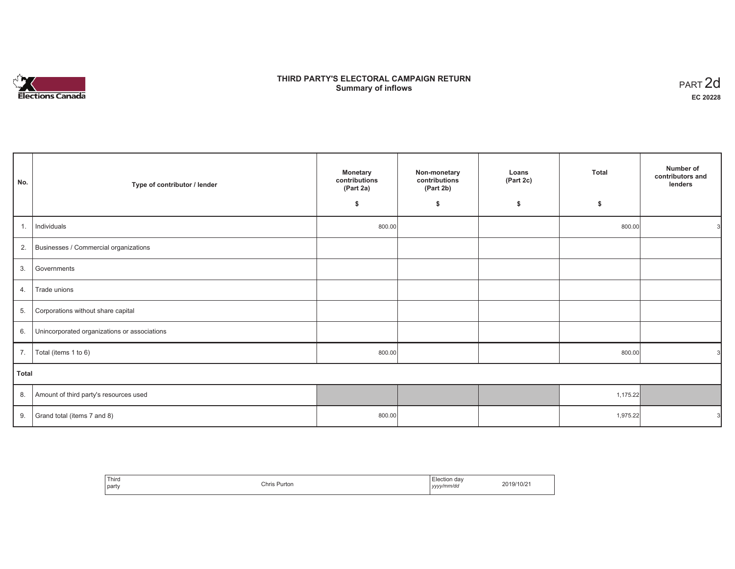

# **THIRD PARTY'S ELECTORAL CAMPAIGN RETURN S** ELECTORAL CAMPAIGN RETURN<br>Summary of inflows PART 2d

| No.   | Type of contributor / lender                    | <b>Monetary</b><br>contributions<br>(Part 2a) | Non-monetary<br>contributions<br>(Part 2b) | Loans<br>(Part 2c) | <b>Total</b> | Number of<br>contributors and<br>lenders |
|-------|-------------------------------------------------|-----------------------------------------------|--------------------------------------------|--------------------|--------------|------------------------------------------|
|       |                                                 | \$                                            | \$                                         | \$                 | \$           |                                          |
| 1.1   | Individuals                                     | 800.00                                        |                                            |                    | 800.00       |                                          |
|       | 2. Businesses / Commercial organizations        |                                               |                                            |                    |              |                                          |
| 3.    | Governments                                     |                                               |                                            |                    |              |                                          |
| 4.    | Trade unions                                    |                                               |                                            |                    |              |                                          |
| 5.    | Corporations without share capital              |                                               |                                            |                    |              |                                          |
|       | 6. Unincorporated organizations or associations |                                               |                                            |                    |              |                                          |
|       | 7.   Total (items 1 to 6)                       | 800.00                                        |                                            |                    | 800.00       |                                          |
| Total |                                                 |                                               |                                            |                    |              |                                          |
|       | 8. Amount of third party's resources used       |                                               |                                            |                    | 1,175.22     |                                          |
| 9.    | Grand total (items 7 and 8)                     | 800.00                                        |                                            |                    | 1,975.22     |                                          |

| Third<br>party | Chris Purton | Election day<br>yyyy/mm/dd | 2019/10/21 |
|----------------|--------------|----------------------------|------------|
|----------------|--------------|----------------------------|------------|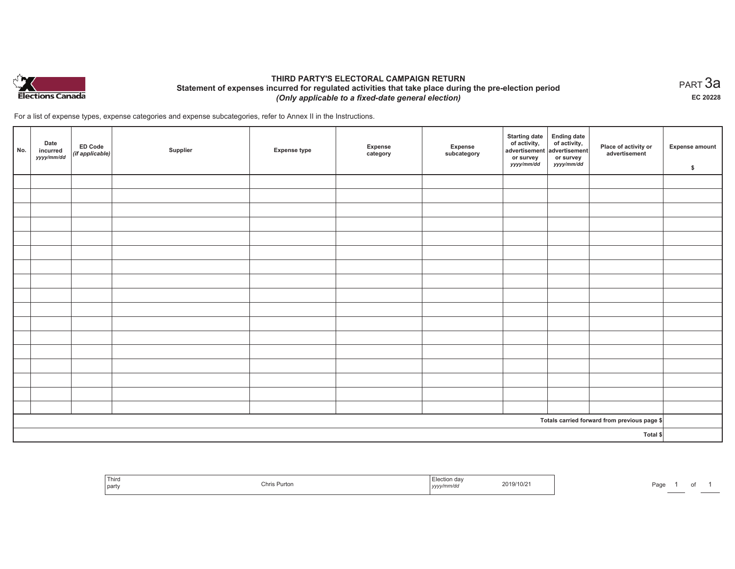

## **THIRD PARTY'S ELECTORAL CAMPAIGN RETURN Statement of expenses incurred for regulated activities that take place during the pre-election period**  *(Only applicable to a fixed-date general election)*

For a list of expense types, expense categories and expense subcategories, refer to Annex II in the Instructions.

| No.      | Date<br>incurred<br>yyyy/mm/dd | <b>ED Code</b><br>$($ if applicable $)$ | Supplier | <b>Expense type</b> | Expense<br>category | Expense<br>subcategory | <b>Starting date</b><br>of activity,<br>advertisement<br>or survey<br>yyyy/mm/dd | Ending date<br>of activity,<br>advertisement<br>or survey<br>yyyy/mm/dd | Place of activity or<br>advertisement        | <b>Expense amount</b><br>\$ |
|----------|--------------------------------|-----------------------------------------|----------|---------------------|---------------------|------------------------|----------------------------------------------------------------------------------|-------------------------------------------------------------------------|----------------------------------------------|-----------------------------|
|          |                                |                                         |          |                     |                     |                        |                                                                                  |                                                                         |                                              |                             |
|          |                                |                                         |          |                     |                     |                        |                                                                                  |                                                                         |                                              |                             |
|          |                                |                                         |          |                     |                     |                        |                                                                                  |                                                                         |                                              |                             |
|          |                                |                                         |          |                     |                     |                        |                                                                                  |                                                                         |                                              |                             |
|          |                                |                                         |          |                     |                     |                        |                                                                                  |                                                                         |                                              |                             |
|          |                                |                                         |          |                     |                     |                        |                                                                                  |                                                                         |                                              |                             |
|          |                                |                                         |          |                     |                     |                        |                                                                                  |                                                                         |                                              |                             |
|          |                                |                                         |          |                     |                     |                        |                                                                                  |                                                                         |                                              |                             |
|          |                                |                                         |          |                     |                     |                        |                                                                                  |                                                                         |                                              |                             |
|          |                                |                                         |          |                     |                     |                        |                                                                                  |                                                                         |                                              |                             |
|          |                                |                                         |          |                     |                     |                        |                                                                                  |                                                                         |                                              |                             |
|          |                                |                                         |          |                     |                     |                        |                                                                                  |                                                                         |                                              |                             |
|          |                                |                                         |          |                     |                     |                        |                                                                                  |                                                                         |                                              |                             |
|          |                                |                                         |          |                     |                     |                        |                                                                                  |                                                                         |                                              |                             |
|          |                                |                                         |          |                     |                     |                        |                                                                                  |                                                                         |                                              |                             |
|          |                                |                                         |          |                     |                     |                        |                                                                                  |                                                                         |                                              |                             |
|          |                                |                                         |          |                     |                     |                        |                                                                                  |                                                                         |                                              |                             |
|          |                                |                                         |          |                     |                     |                        |                                                                                  |                                                                         | Totals carried forward from previous page \$ |                             |
| Total \$ |                                |                                         |          |                     |                     |                        |                                                                                  |                                                                         |                                              |                             |

| <sup>1</sup> Third<br>  party | Chris Purton | Election dav<br>2019/10/21<br>.<br>yyyy/mm/dd<br>$\sim$ $\sim$ $\sim$ $\sim$ $\sim$ | Paɑɾ |
|-------------------------------|--------------|-------------------------------------------------------------------------------------|------|
|-------------------------------|--------------|-------------------------------------------------------------------------------------|------|

 $_{\sf PART}$ 3a **EC 20228**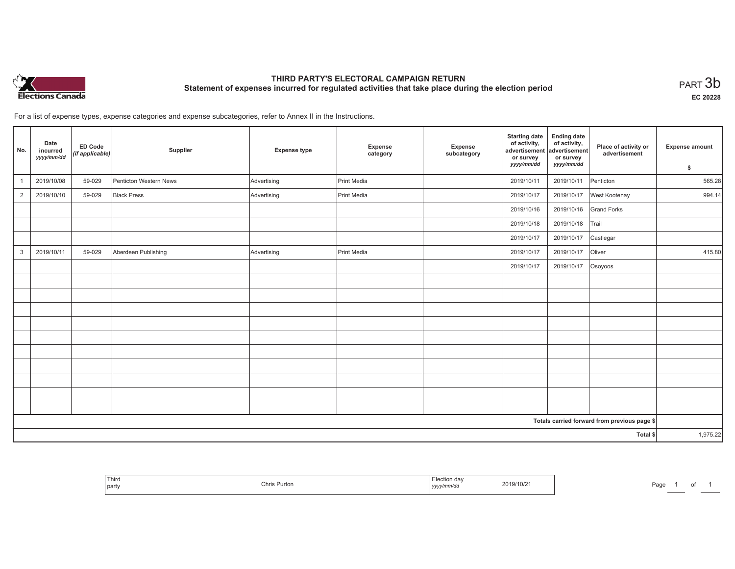

# **THIRD PARTY'S ELECTORAL CAMPAIGN RETURN Statement of expenses incurred for regulated activities that take place during the election period**<br>PART  $3\mathsf{b}$

**EC 20228**

For a list of expense types, expense categories and expense subcategories, refer to Annex II in the Instructions.

| No.            | Date<br>incurred<br>yyyy/mm/dd | ED Code<br>(if applicable) | Supplier               | <b>Expense type</b> | Expense<br>category | Expense<br>subcategory | <b>Starting date</b><br>of activity,<br>advertisement<br>or survey<br>yyyy/mm/dd | <b>Ending date</b><br>of activity,<br>advertisement<br>or survey<br>yyyy/mm/dd | Place of activity or<br>advertisement        | Expense amount<br>\$ |
|----------------|--------------------------------|----------------------------|------------------------|---------------------|---------------------|------------------------|----------------------------------------------------------------------------------|--------------------------------------------------------------------------------|----------------------------------------------|----------------------|
| $\mathbf{1}$   | 2019/10/08                     | 59-029                     | Penticton Western News | Advertising         | Print Media         |                        | 2019/10/11                                                                       | 2019/10/11                                                                     | Penticton                                    | 565.28               |
| $\overline{2}$ | 2019/10/10                     | 59-029                     | <b>Black Press</b>     | Advertising         | Print Media         |                        | 2019/10/17                                                                       | 2019/10/17                                                                     | West Kootenay                                | 994.14               |
|                |                                |                            |                        |                     |                     |                        | 2019/10/16                                                                       | 2019/10/16                                                                     | <b>Grand Forks</b>                           |                      |
|                |                                |                            |                        |                     |                     |                        | 2019/10/18                                                                       | 2019/10/18                                                                     | Trail                                        |                      |
|                |                                |                            |                        |                     |                     |                        | 2019/10/17                                                                       | 2019/10/17                                                                     | Castlegar                                    |                      |
| 3              | 2019/10/11                     | 59-029                     | Aberdeen Publishing    | Advertising         | Print Media         |                        | 2019/10/17                                                                       | 2019/10/17                                                                     | Oliver                                       | 415.80               |
|                |                                |                            |                        |                     |                     |                        | 2019/10/17                                                                       | 2019/10/17                                                                     | Osoyoos                                      |                      |
|                |                                |                            |                        |                     |                     |                        |                                                                                  |                                                                                |                                              |                      |
|                |                                |                            |                        |                     |                     |                        |                                                                                  |                                                                                |                                              |                      |
|                |                                |                            |                        |                     |                     |                        |                                                                                  |                                                                                |                                              |                      |
|                |                                |                            |                        |                     |                     |                        |                                                                                  |                                                                                |                                              |                      |
|                |                                |                            |                        |                     |                     |                        |                                                                                  |                                                                                |                                              |                      |
|                |                                |                            |                        |                     |                     |                        |                                                                                  |                                                                                |                                              |                      |
|                |                                |                            |                        |                     |                     |                        |                                                                                  |                                                                                |                                              |                      |
|                |                                |                            |                        |                     |                     |                        |                                                                                  |                                                                                |                                              |                      |
|                |                                |                            |                        |                     |                     |                        |                                                                                  |                                                                                |                                              |                      |
|                |                                |                            |                        |                     |                     |                        |                                                                                  |                                                                                |                                              |                      |
|                |                                |                            |                        |                     |                     |                        |                                                                                  |                                                                                | Totals carried forward from previous page \$ |                      |
| Total \$       |                                |                            |                        |                     |                     |                        | 1,975.22                                                                         |                                                                                |                                              |                      |

| Third<br>l party | Chris Purton | ' <sup>⊏t</sup> ection dav<br>2019/10/21<br>mm/ai<br>,,,,,, | Page<br>u |
|------------------|--------------|-------------------------------------------------------------|-----------|
|------------------|--------------|-------------------------------------------------------------|-----------|